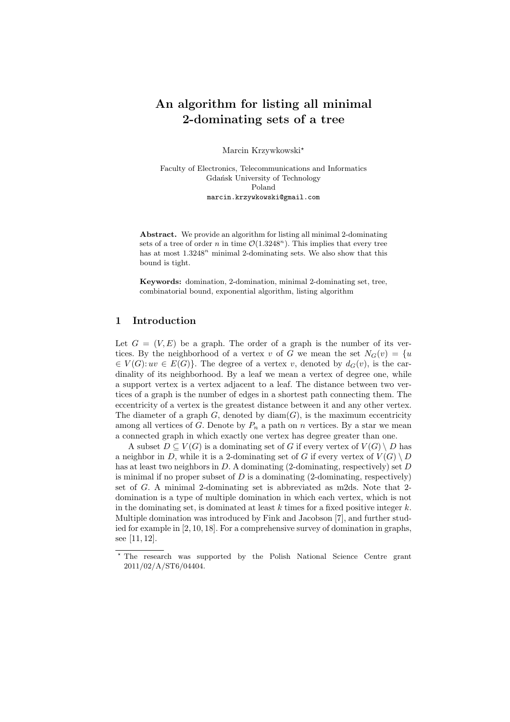# **An algorithm for listing all minimal 2-dominating sets of a tree**

Marcin Krzywkowski*<sup>⋆</sup>*

Faculty of Electronics, Telecommunications and Informatics Gdańsk University of Technology Poland marcin.krzywkowski@gmail.com

**Abstract.** We provide an algorithm for listing all minimal 2-dominating sets of a tree of order *n* in time  $\mathcal{O}(1.3248^n)$ . This implies that every tree has at most  $1.3248<sup>n</sup>$  minimal 2-dominating sets. We also show that this bound is tight.

**Keywords:** domination, 2-domination, minimal 2-dominating set, tree, combinatorial bound, exponential algorithm, listing algorithm

## **1 Introduction**

Let  $G = (V, E)$  be a graph. The order of a graph is the number of its vertices. By the neighborhood of a vertex *v* of *G* we mean the set  $N_G(v) = \{u\}$  $\in V(G): uv \in E(G)$ . The degree of a vertex *v*, denoted by  $d_G(v)$ , is the cardinality of its neighborhood. By a leaf we mean a vertex of degree one, while a support vertex is a vertex adjacent to a leaf. The distance between two vertices of a graph is the number of edges in a shortest path connecting them. The eccentricity of a vertex is the greatest distance between it and any other vertex. The diameter of a graph  $G$ , denoted by  $\text{diam}(G)$ , is the maximum eccentricity among all vertices of *G*. Denote by  $P_n$  a path on *n* vertices. By a star we mean a connected graph in which exactly one vertex has degree greater than one.

A subset  $D \subset V(G)$  is a dominating set of *G* if every vertex of  $V(G) \setminus D$  has a neighbor in *D*, while it is a 2-dominating set of *G* if every vertex of  $V(G) \setminus D$ has at least two neighbors in *D*. A dominating (2-dominating, respectively) set *D* is minimal if no proper subset of  $D$  is a dominating  $(2\text{-dominating, respectively})$ set of *G*. A minimal 2-dominating set is abbreviated as m2ds. Note that 2 domination is a type of multiple domination in which each vertex, which is not in the dominating set, is dominated at least *k* times for a fixed positive integer *k*. Multiple domination was introduced by Fink and Jacobson [7], and further studied for example in [2, 10, 18]. For a comprehensive survey of domination in graphs, see [11, 12].

*<sup>⋆</sup>* The research was supported by the Polish National Science Centre grant 2011/02/A/ST6/04404.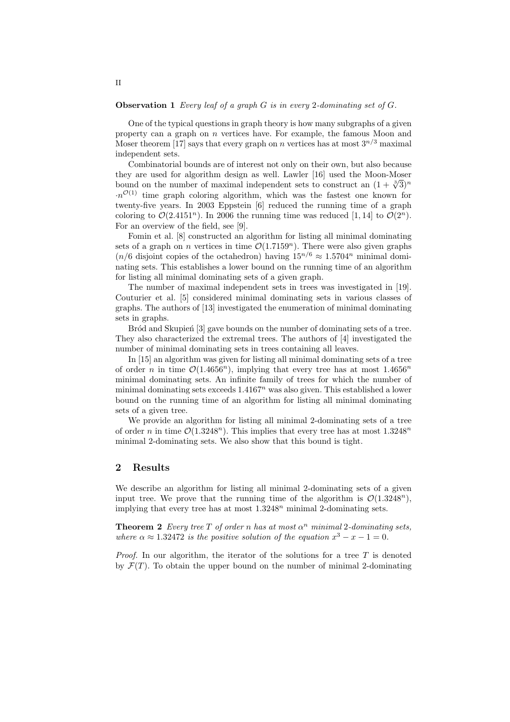#### **Observation 1** *Every leaf of a graph G is in every* 2*-dominating set of G.*

One of the typical questions in graph theory is how many subgraphs of a given property can a graph on *n* vertices have. For example, the famous Moon and Moser theorem [17] says that every graph on *n* vertices has at most  $3^{n/3}$  maximal independent sets.

Combinatorial bounds are of interest not only on their own, but also because they are used for algorithm design as well. Lawler [16] used the Moon-Moser bound on the number of maximal independent sets to construct an  $(1 + \sqrt[3]{3})^n$  $\cdot n^{\mathcal{O}(1)}$  time graph coloring algorithm, which was the fastest one known for twenty-five years. In 2003 Eppstein [6] reduced the running time of a graph coloring to  $\mathcal{O}(2.4151^n)$ . In 2006 the running time was reduced [1, 14] to  $\mathcal{O}(2^n)$ . For an overview of the field, see [9].

Fomin et al. [8] constructed an algorithm for listing all minimal dominating sets of a graph on *n* vertices in time  $\mathcal{O}(1.7159^n)$ . There were also given graphs (*n*/6 disjoint copies of the octahedron) having  $15^{n/6} \approx 1.5704^n$  minimal dominating sets. This establishes a lower bound on the running time of an algorithm for listing all minimal dominating sets of a given graph.

The number of maximal independent sets in trees was investigated in [19]. Couturier et al. [5] considered minimal dominating sets in various classes of graphs. The authors of [13] investigated the enumeration of minimal dominating sets in graphs.

Bród and Skupien<sup>[3]</sup> gave bounds on the number of dominating sets of a tree. They also characterized the extremal trees. The authors of [4] investigated the number of minimal dominating sets in trees containing all leaves.

In [15] an algorithm was given for listing all minimal dominating sets of a tree of order *n* in time  $\mathcal{O}(1.4656^n)$ , implying that every tree has at most  $1.4656^n$ minimal dominating sets. An infinite family of trees for which the number of minimal dominating sets exceeds 1*.*4167*<sup>n</sup>* was also given. This established a lower bound on the running time of an algorithm for listing all minimal dominating sets of a given tree.

We provide an algorithm for listing all minimal 2-dominating sets of a tree of order *n* in time  $\mathcal{O}(1.3248^n)$ . This implies that every tree has at most  $1.3248^n$ minimal 2-dominating sets. We also show that this bound is tight.

### **2 Results**

We describe an algorithm for listing all minimal 2-dominating sets of a given input tree. We prove that the running time of the algorithm is  $\mathcal{O}(1.3248^n)$ , implying that every tree has at most 1*.*3248*<sup>n</sup>* minimal 2-dominating sets.

**Theorem 2** *Every tree*  $T$  *of order*  $n$  *has at most*  $\alpha^n$  *minimal* 2*-dominating sets, where*  $\alpha \approx 1.32472$  *is the positive solution of the equation*  $x^3 - x - 1 = 0$ *.* 

*Proof.* In our algorithm, the iterator of the solutions for a tree T is denoted by  $\mathcal{F}(T)$ . To obtain the upper bound on the number of minimal 2-dominating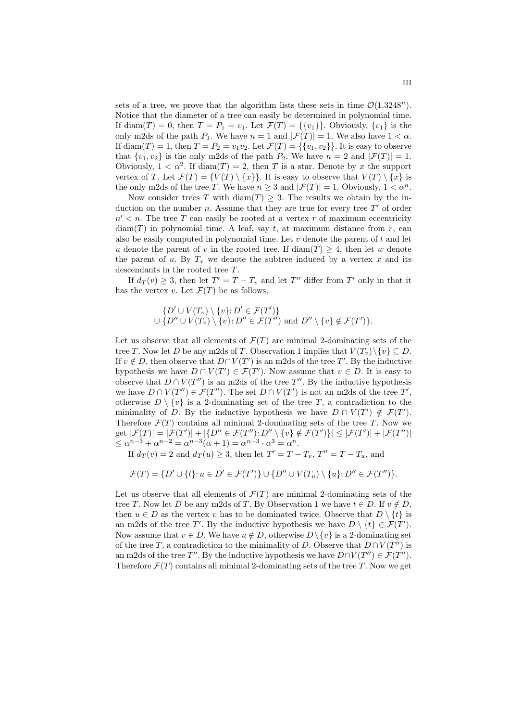sets of a tree, we prove that the algorithm lists these sets in time  $\mathcal{O}(1.3248^n)$ . Notice that the diameter of a tree can easily be determined in polynomial time. If diam(*T*) = 0, then *T* = *P*<sub>1</sub> = *v*<sub>1</sub>. Let  $\mathcal{F}(T) = \{\{v_1\}\}\$ . Obviously,  $\{v_1\}$  is the only m2ds of the path  $P_1$ . We have  $n = 1$  and  $|\mathcal{F}(T)| = 1$ . We also have  $1 < \alpha$ . If diam(*T*) = 1, then  $T = P_2 = v_1v_2$ . Let  $\mathcal{F}(T) = \{\{v_1, v_2\}\}\.$  It is easy to observe that  $\{v_1, v_2\}$  is the only m2ds of the path  $P_2$ . We have  $n = 2$  and  $|\mathcal{F}(T)| = 1$ . Obviously,  $1 < \alpha^2$ . If diam(*T*) = 2, then *T* is a star. Denote by *x* the support vertex of *T*. Let  $\mathcal{F}(T) = \{V(T) \setminus \{x\}\}\.$  It is easy to observe that  $V(T) \setminus \{x\}$  is the only m2ds of the tree *T*. We have  $n \geq 3$  and  $|\mathcal{F}(T)| = 1$ . Obviously,  $1 < \alpha^n$ .

Now consider trees *T* with diam(*T*)  $\geq$  3. The results we obtain by the induction on the number *n*. Assume that they are true for every tree *T ′* of order  $n' < n$ . The tree *T* can easily be rooted at a vertex *r* of maximum eccentricity  $diam(T)$  in polynomial time. A leaf, say *t*, at maximum distance from *r*, can also be easily computed in polynomial time. Let *v* denote the parent of *t* and let *u* denote the parent of *v* in the rooted tree. If  $\text{diam}(T) \geq 4$ , then let *w* denote the parent of *u*. By  $T_x$  we denote the subtree induced by a vertex *x* and its descendants in the rooted tree *T*.

If  $d_T(v) \geq 3$ , then let  $T' = T - T_v$  and let  $T''$  differ from  $T'$  only in that it has the vertex *v*. Let  $\mathcal{F}(T)$  be as follows,

$$
\{D' \cup V(T_v) \setminus \{v\} : D' \in \mathcal{F}(T')\}
$$
  

$$
\cup \{D'' \cup V(T_v) \setminus \{v\} : D'' \in \mathcal{F}(T'')
$$
 and 
$$
D'' \setminus \{v\} \notin \mathcal{F}(T')\}.
$$

Let us observe that all elements of  $\mathcal{F}(T)$  are minimal 2-dominating sets of the tree *T*. Now let *D* be any m2ds of *T*. Observation 1 implies that  $V(T_n)\setminus\{v\} \subseteq D$ . If  $v \notin D$ , then observe that  $D \cap V(T')$  is an m2ds of the tree  $T'$ . By the inductive hypothesis we have  $D \cap V(T') \in \mathcal{F}(T')$ . Now assume that  $v \in D$ . It is easy to observe that  $D \cap V(T'')$  is an m2ds of the tree  $T''$ . By the inductive hypothesis we have  $D \cap V(T'') \in \mathcal{F}(T'')$ . The set  $D \cap V(T')$  is not an m2ds of the tree  $T'$ , otherwise  $D \setminus \{v\}$  is a 2-dominating set of the tree *T*, a contradiction to the minimality of *D*. By the inductive hypothesis we have  $D \cap V(T') \notin \mathcal{F}(T')$ . Therefore  $\mathcal{F}(T)$  contains all minimal 2-dominating sets of the tree *T*. Now we get  $|\mathcal{F}(T)| = |\mathcal{F}(T')| + |\{D'' \in \mathcal{F}(T'') : D'' \setminus \{v\} \notin \mathcal{F}(T')\}| \leq |\mathcal{F}(T')| + |\mathcal{F}(T'')|$  $\leq \alpha^{n-3} + \alpha^{n-2} = \alpha^{n-3}(\alpha+1) = \alpha^{n-3} \cdot \alpha^3 = \alpha^n$ .

If  $d_T(v) = 2$  and  $d_T(v) \ge 3$ , then let  $T' = T - T_v$ ,  $T'' = T - T_u$ , and

$$
\mathcal{F}(T) = \{D' \cup \{t\}: u \in D' \in \mathcal{F}(T')\} \cup \{D'' \cup V(T_u) \setminus \{u\}: D'' \in \mathcal{F}(T'')\}.
$$

Let us observe that all elements of  $\mathcal{F}(T)$  are minimal 2-dominating sets of the tree *T*. Now let *D* be any m2ds of *T*. By Observation 1 we have  $t \in D$ . If  $v \notin D$ , then  $u \in D$  as the vertex *v* has to be dominated twice. Observe that  $D \setminus \{t\}$  is an m2ds of the tree *T'*. By the inductive hypothesis we have  $D \setminus \{t\} \in \mathcal{F}(T')$ . Now assume that  $v \in D$ . We have  $u \notin D$ , otherwise  $D \setminus \{v\}$  is a 2-dominating set of the tree *T*, a contradiction to the minimality of *D*. Observe that  $D \cap V(T'')$  is an m2ds of the tree  $T''$ . By the inductive hypothesis we have  $D \cap V(T'') \in \mathcal{F}(T'')$ . Therefore  $\mathcal{F}(T)$  contains all minimal 2-dominating sets of the tree T. Now we get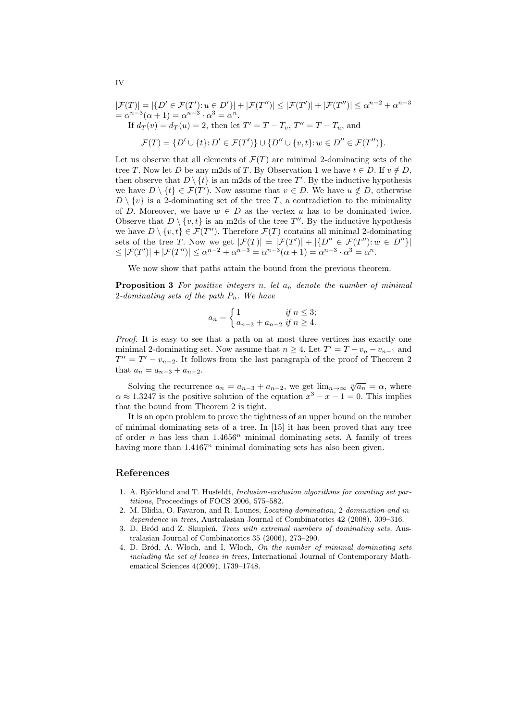$$
|\mathcal{F}(T)| = |\{D' \in \mathcal{F}(T') : u \in D'\}| + |\mathcal{F}(T'')| \le |\mathcal{F}(T')| + |\mathcal{F}(T'')| \le \alpha^{n-2} + \alpha^{n-3}
$$
  
=  $\alpha^{n-3}(\alpha + 1) = \alpha^{n-3} \cdot \alpha^3 = \alpha^n$ .  
If  $d_T(v) = d_T(u) = 2$ , then let  $T' = T - T_v$ ,  $T'' = T - T_u$ , and  
 $\mathcal{F}(T) = \{D' \cup \{t\} : D' \in \mathcal{F}(T')\} \cup \{D'' \cup \{v, t\} : w \in D'' \in \mathcal{F}(T'')\}.$ 

Let us observe that all elements of  $\mathcal{F}(T)$  are minimal 2-dominating sets of the tree *T*. Now let *D* be any m2ds of *T*. By Observation 1 we have  $t \in D$ . If  $v \notin D$ , then observe that  $D \setminus \{t\}$  is an m2ds of the tree T'. By the inductive hypothesis we have  $D \setminus \{t\} \in \mathcal{F}(T')$ . Now assume that  $v \in D$ . We have  $u \notin D$ , otherwise  $D \setminus \{v\}$  is a 2-dominating set of the tree *T*, a contradiction to the minimality of *D*. Moreover, we have  $w \in D$  as the vertex *u* has to be dominated twice. Observe that  $D \setminus \{v, t\}$  is an m2ds of the tree  $T''$ . By the inductive hypothesis we have  $D \setminus \{v, t\} \in \mathcal{F}(T'')$ . Therefore  $\mathcal{F}(T)$  contains all minimal 2-dominating sets of the tree *T*. Now we get  $|\mathcal{F}(T)| = |\mathcal{F}(T')| + |\{D'' \in \mathcal{F}(T'') : w \in D''\}|$  $\leq |\mathcal{F}(T')| + |\mathcal{F}(T'')| \leq \alpha^{n-2} + \alpha^{n-3} = \alpha^{n-3}(\alpha+1) = \alpha^{n-3} \cdot \alpha^3 = \alpha^n.$ 

We now show that paths attain the bound from the previous theorem.

**Proposition 3** *For positive integers n, let a<sup>n</sup> denote the number of minimal* 2*-dominating sets of the path Pn. We have*

$$
a_n = \begin{cases} 1 & \text{if } n \le 3; \\ a_{n-3} + a_{n-2} & \text{if } n \ge 4. \end{cases}
$$

*Proof.* It is easy to see that a path on at most three vertices has exactly one minimal 2-dominating set. Now assume that  $n \geq 4$ . Let  $T' = T - v_n - v_{n-1}$  and  $T'' = T' - v_{n-2}$ . It follows from the last paragraph of the proof of Theorem 2 that  $a_n = a_{n-3} + a_{n-2}$ .

Solving the recurrence  $a_n = a_{n-3} + a_{n-2}$ , we get  $\lim_{n \to \infty} \sqrt[n]{a_n} = \alpha$ , where  $\alpha \approx 1.3247$  is the positive solution of the equation  $x^3 - x - 1 = 0$ . This implies that the bound from Theorem 2 is tight.

It is an open problem to prove the tightness of an upper bound on the number of minimal dominating sets of a tree. In [15] it has been proved that any tree of order *n* has less than  $1.4656^n$  minimal dominating sets. A family of trees having more than 1.4167<sup>n</sup> minimal dominating sets has also been given.

### **References**

- 1. A. Björklund and T. Husfeldt, *Inclusion-exclusion algorithms for counting set partitions,* Proceedings of FOCS 2006, 575–582.
- 2. M. Blidia, O. Favaron, and R. Lounes, *Locating-domination,* 2*-domination and independence in trees,* Australasian Journal of Combinatorics 42 (2008), 309–316.
- 3. D. Br´od and Z. Skupie´n, *Trees with extremal numbers of dominating sets,* Australasian Journal of Combinatorics 35 (2006), 273–290.
- 4. D. Br´od, A. W loch, and I. W loch, *On the number of minimal dominating sets including the set of leaves in trees,* International Journal of Contemporary Mathematical Sciences 4(2009), 1739–1748.

IV